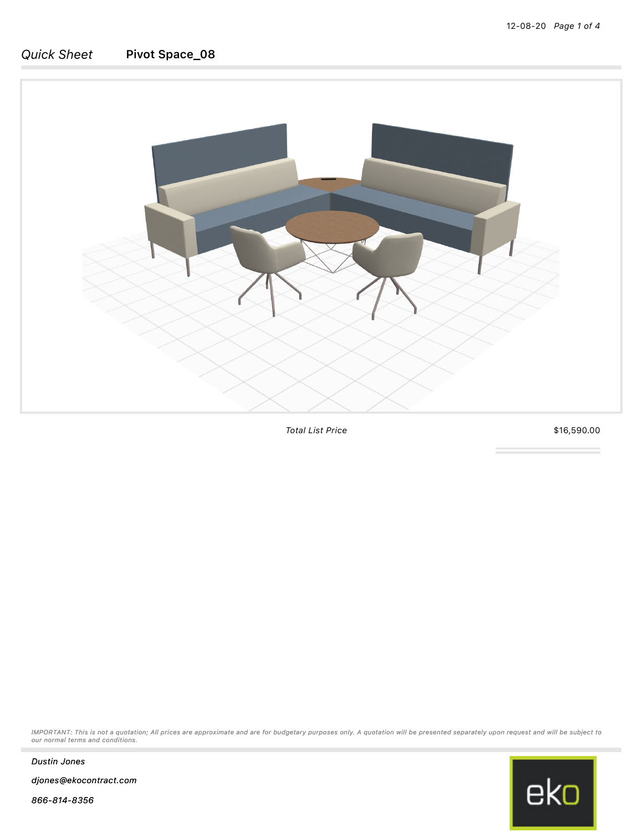

*Total List Price* \$16,590.00

*IMPORTANT: This is not a quotation; All prices are approximate and are for budgetary purposes only. A quotation will be presented separately upon request and will be subject to our normal terms and conditions.*



*Dustin Jones*

*djones@ekocontract.com*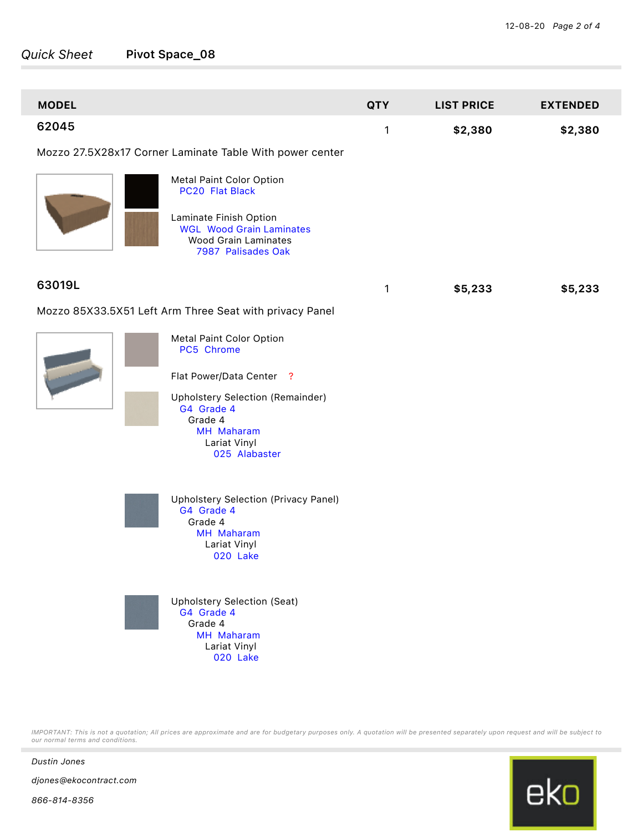| <b>MODEL</b>                                            |                                                                                                                | <b>QTY</b> | <b>LIST PRICE</b> | <b>EXTENDED</b> |
|---------------------------------------------------------|----------------------------------------------------------------------------------------------------------------|------------|-------------------|-----------------|
| 62045                                                   |                                                                                                                | 1          | \$2,380           | \$2,380         |
|                                                         | Mozzo 27.5X28x17 Corner Laminate Table With power center                                                       |            |                   |                 |
|                                                         | Metal Paint Color Option<br>PC20 Flat Black                                                                    |            |                   |                 |
|                                                         | Laminate Finish Option<br><b>WGL Wood Grain Laminates</b><br><b>Wood Grain Laminates</b><br>7987 Palisades Oak |            |                   |                 |
| 63019L                                                  |                                                                                                                | 1          | \$5,233           | \$5,233         |
| Mozzo 85X33.5X51 Left Arm Three Seat with privacy Panel |                                                                                                                |            |                   |                 |
|                                                         | Metal Paint Color Option<br>PC5 Chrome                                                                         |            |                   |                 |
|                                                         | Flat Power/Data Center ?                                                                                       |            |                   |                 |
|                                                         | Upholstery Selection (Remainder)<br>G4 Grade 4<br>Grade 4<br>MH Maharam<br>Lariat Vinyl<br>025 Alabaster       |            |                   |                 |
|                                                         | <b>Upholstery Selection (Privacy Panel)</b><br>G4 Grade 4<br>Grade 4<br>MH Maharam<br>Lariat Vinyl<br>020 Lake |            |                   |                 |
|                                                         | <b>Upholstery Selection (Seat)</b><br>G4 Grade 4<br>Grade 4<br>MH Maharam<br>Lariat Vinyl<br>020 Lake          |            |                   |                 |

*IMPORTANT: This is not a quotation; All prices are approximate and are for budgetary purposes only. A quotation will be presented separately upon request and will be subject to our normal terms and conditions.*



*Dustin Jones*

*djones@ekocontract.com*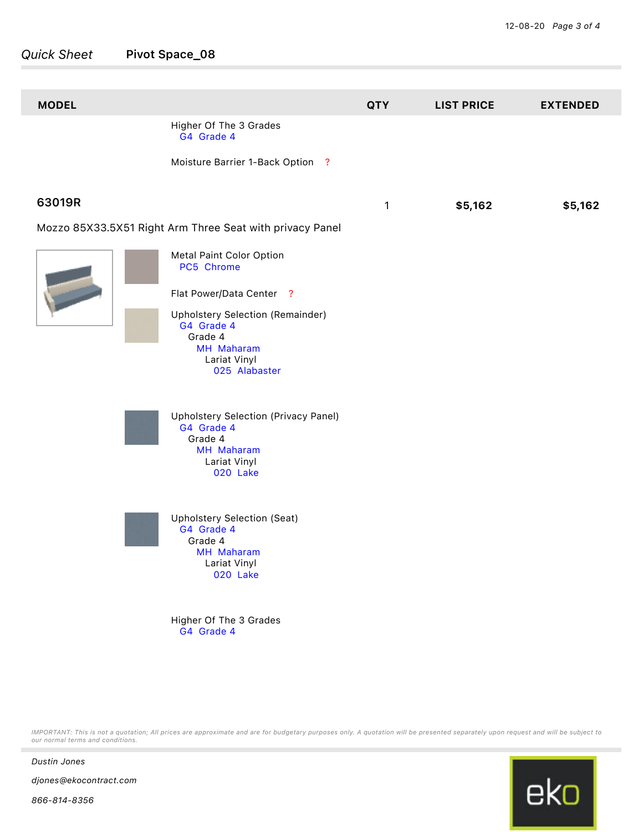| <b>MODEL</b> |                                                                                                                                                                                                                                                                                      | <b>QTY</b> | <b>LIST PRICE</b> | <b>EXTENDED</b> |
|--------------|--------------------------------------------------------------------------------------------------------------------------------------------------------------------------------------------------------------------------------------------------------------------------------------|------------|-------------------|-----------------|
|              | Higher Of The 3 Grades<br>G4 Grade 4                                                                                                                                                                                                                                                 |            |                   |                 |
|              | Moisture Barrier 1-Back Option ?                                                                                                                                                                                                                                                     |            |                   |                 |
| 63019R       |                                                                                                                                                                                                                                                                                      | 1          | \$5,162           | \$5,162         |
|              | Mozzo 85X33.5X51 Right Arm Three Seat with privacy Panel                                                                                                                                                                                                                             |            |                   |                 |
|              | Metal Paint Color Option<br>PC5 Chrome<br>Flat Power/Data Center ?<br><b>Upholstery Selection (Remainder)</b><br>G4 Grade 4<br>Grade 4<br>MH Maharam<br>Lariat Vinyl<br>025 Alabaster<br>Upholstery Selection (Privacy Panel)<br>G4 Grade 4<br>Grade 4<br>MH Maharam<br>Lariat Vinyl |            |                   |                 |
|              | 020 Lake<br><b>Upholstery Selection (Seat)</b><br>G4 Grade 4<br>Grade 4<br>MH Maharam<br>Lariat Vinyl<br>020 Lake<br>Higher Of The 3 Grades<br>G4 Grade 4                                                                                                                            |            |                   |                 |

*IMPORTANT: This is not a quotation; All prices are approximate and are for budgetary purposes only. A quotation will be presented separately upon request and will be subject to our normal terms and conditions.*



*866-814-8356*

*djones@ekocontract.com*

*Dustin Jones*